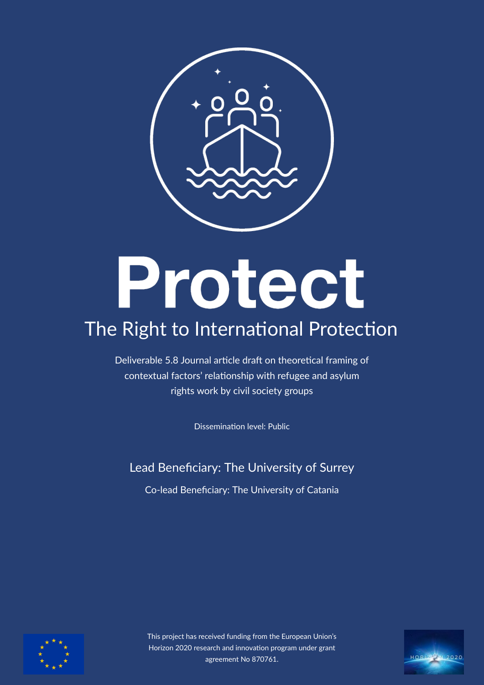

# Protect

# The Right to International Protection

Deliverable 5.8 Journal article draft on theoretical framing of contextual factors' relationship with refugee and asylum rights work by civil society groups

Dissemination level: Public

Lead Benefciary: The University of Surrey

Co-lead Benefciary: The University of Catania



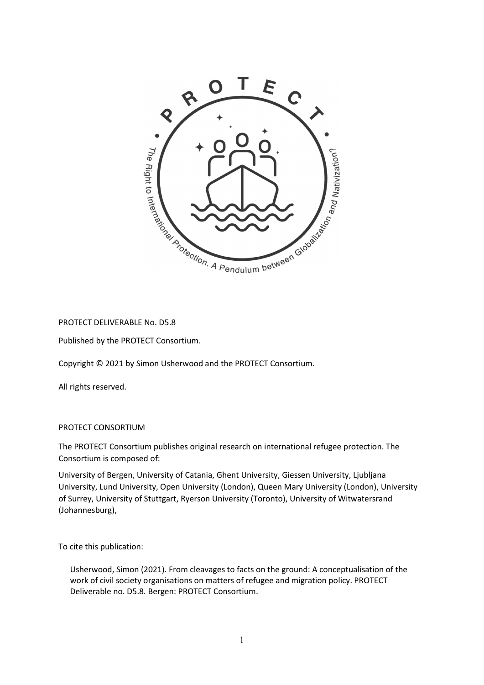

#### PROTECT DELIVERABLE No. D5.8

Published by the PROTECT Consortium.

Copyright © 2021 by Simon Usherwood and the PROTECT Consortium.

All rights reserved.

#### PROTECT CONSORTIUM

The PROTECT Consortium publishes original research on international refugee protection. The Consortium is composed of:

University of Bergen, University of Catania, Ghent University, Giessen University, Ljubljana University, Lund University, Open University (London), Queen Mary University (London), University of Surrey, University of Stuttgart, Ryerson University (Toronto), University of Witwatersrand (Johannesburg),

To cite this publication:

Usherwood, Simon (2021). From cleavages to facts on the ground: A conceptualisation of the work of civil society organisations on matters of refugee and migration policy. PROTECT Deliverable no. D5.8. Bergen: PROTECT Consortium.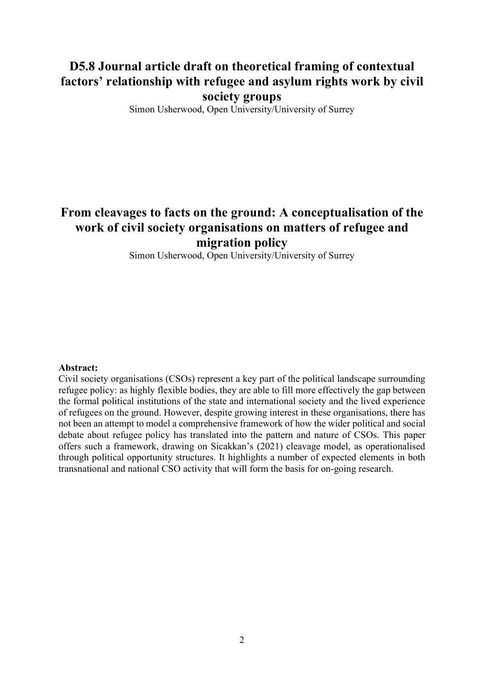## D5.8 Journal article draft on theoretical framing of contextual factors' relationship with refugee and asylum rights work by civil society groups

Simon Usherwood, Open University/University of Surrey

## From cleavages to facts on the ground: A conceptualisation of the work of civil society organisations on matters of refugee and migration policy

Simon Usherwood, Open University/University of Surrey

#### Abstract:

Civil society organisations (CSOs) represent a key part of the political landscape surrounding refugee policy: as highly flexible bodies, they are able to fill more effectively the gap between the formal political institutions of the state and international society and the lived experience of refugees on the ground. However, despite growing interest in these organisations, there has not been an attempt to model a comprehensive framework of how the wider political and social debate about refugee policy has translated into the pattern and nature of CSOs. This paper offers such a framework, drawing on Sicakkan's (2021) cleavage model, as operationalised through political opportunity structures. It highlights a number of expected elements in both transnational and national CSO activity that will form the basis for on-going research.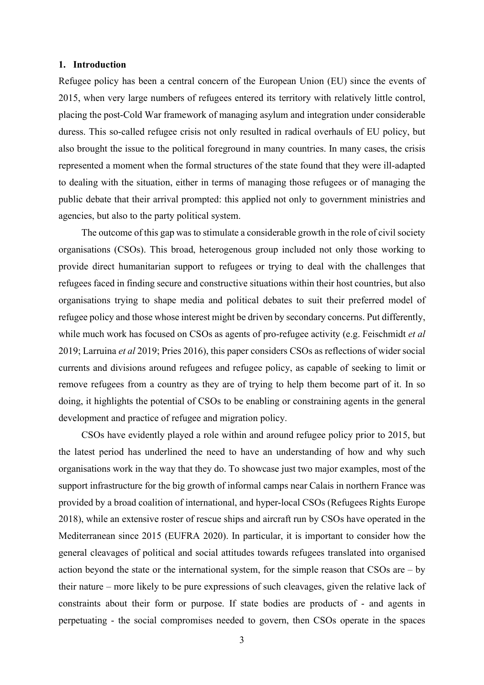#### 1. Introduction

Refugee policy has been a central concern of the European Union (EU) since the events of 2015, when very large numbers of refugees entered its territory with relatively little control, placing the post-Cold War framework of managing asylum and integration under considerable duress. This so-called refugee crisis not only resulted in radical overhauls of EU policy, but also brought the issue to the political foreground in many countries. In many cases, the crisis represented a moment when the formal structures of the state found that they were ill-adapted to dealing with the situation, either in terms of managing those refugees or of managing the public debate that their arrival prompted: this applied not only to government ministries and agencies, but also to the party political system.

The outcome of this gap was to stimulate a considerable growth in the role of civil society organisations (CSOs). This broad, heterogenous group included not only those working to provide direct humanitarian support to refugees or trying to deal with the challenges that refugees faced in finding secure and constructive situations within their host countries, but also organisations trying to shape media and political debates to suit their preferred model of refugee policy and those whose interest might be driven by secondary concerns. Put differently, while much work has focused on CSOs as agents of pro-refugee activity (e.g. Feischmidt *et al* 2019; Larruina et al 2019; Pries 2016), this paper considers CSOs as reflections of wider social currents and divisions around refugees and refugee policy, as capable of seeking to limit or remove refugees from a country as they are of trying to help them become part of it. In so doing, it highlights the potential of CSOs to be enabling or constraining agents in the general development and practice of refugee and migration policy.

CSOs have evidently played a role within and around refugee policy prior to 2015, but the latest period has underlined the need to have an understanding of how and why such organisations work in the way that they do. To showcase just two major examples, most of the support infrastructure for the big growth of informal camps near Calais in northern France was provided by a broad coalition of international, and hyper-local CSOs (Refugees Rights Europe 2018), while an extensive roster of rescue ships and aircraft run by CSOs have operated in the Mediterranean since 2015 (EUFRA 2020). In particular, it is important to consider how the general cleavages of political and social attitudes towards refugees translated into organised action beyond the state or the international system, for the simple reason that CSOs are – by their nature – more likely to be pure expressions of such cleavages, given the relative lack of constraints about their form or purpose. If state bodies are products of - and agents in perpetuating - the social compromises needed to govern, then CSOs operate in the spaces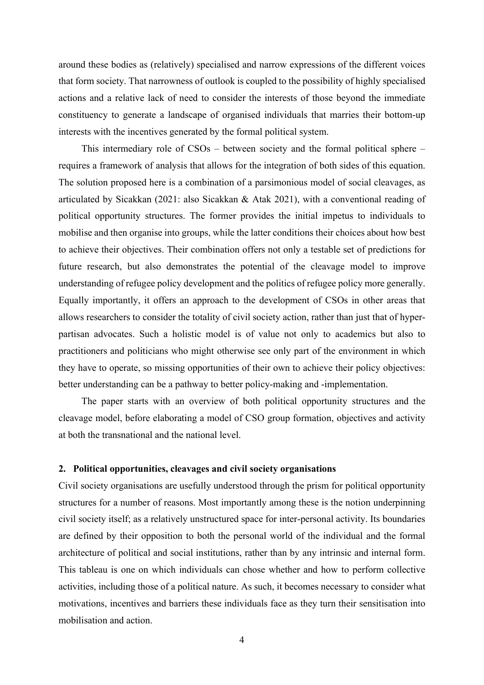around these bodies as (relatively) specialised and narrow expressions of the different voices that form society. That narrowness of outlook is coupled to the possibility of highly specialised actions and a relative lack of need to consider the interests of those beyond the immediate constituency to generate a landscape of organised individuals that marries their bottom-up interests with the incentives generated by the formal political system.

This intermediary role of CSOs – between society and the formal political sphere – requires a framework of analysis that allows for the integration of both sides of this equation. The solution proposed here is a combination of a parsimonious model of social cleavages, as articulated by Sicakkan (2021: also Sicakkan & Atak 2021), with a conventional reading of political opportunity structures. The former provides the initial impetus to individuals to mobilise and then organise into groups, while the latter conditions their choices about how best to achieve their objectives. Their combination offers not only a testable set of predictions for future research, but also demonstrates the potential of the cleavage model to improve understanding of refugee policy development and the politics of refugee policy more generally. Equally importantly, it offers an approach to the development of CSOs in other areas that allows researchers to consider the totality of civil society action, rather than just that of hyperpartisan advocates. Such a holistic model is of value not only to academics but also to practitioners and politicians who might otherwise see only part of the environment in which they have to operate, so missing opportunities of their own to achieve their policy objectives: better understanding can be a pathway to better policy-making and -implementation.

The paper starts with an overview of both political opportunity structures and the cleavage model, before elaborating a model of CSO group formation, objectives and activity at both the transnational and the national level.

#### 2. Political opportunities, cleavages and civil society organisations

Civil society organisations are usefully understood through the prism for political opportunity structures for a number of reasons. Most importantly among these is the notion underpinning civil society itself; as a relatively unstructured space for inter-personal activity. Its boundaries are defined by their opposition to both the personal world of the individual and the formal architecture of political and social institutions, rather than by any intrinsic and internal form. This tableau is one on which individuals can chose whether and how to perform collective activities, including those of a political nature. As such, it becomes necessary to consider what motivations, incentives and barriers these individuals face as they turn their sensitisation into mobilisation and action.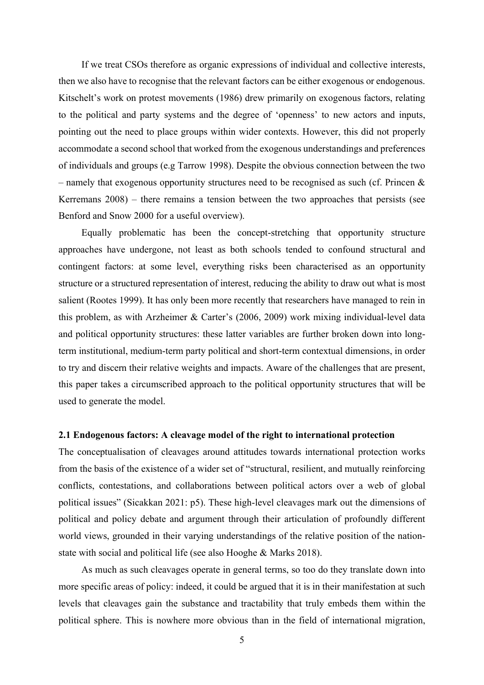If we treat CSOs therefore as organic expressions of individual and collective interests, then we also have to recognise that the relevant factors can be either exogenous or endogenous. Kitschelt's work on protest movements (1986) drew primarily on exogenous factors, relating to the political and party systems and the degree of 'openness' to new actors and inputs, pointing out the need to place groups within wider contexts. However, this did not properly accommodate a second school that worked from the exogenous understandings and preferences of individuals and groups (e.g Tarrow 1998). Despite the obvious connection between the two – namely that exogenous opportunity structures need to be recognised as such (cf. Princen  $\&$ Kerremans 2008) – there remains a tension between the two approaches that persists (see Benford and Snow 2000 for a useful overview).

Equally problematic has been the concept-stretching that opportunity structure approaches have undergone, not least as both schools tended to confound structural and contingent factors: at some level, everything risks been characterised as an opportunity structure or a structured representation of interest, reducing the ability to draw out what is most salient (Rootes 1999). It has only been more recently that researchers have managed to rein in this problem, as with Arzheimer & Carter's (2006, 2009) work mixing individual-level data and political opportunity structures: these latter variables are further broken down into longterm institutional, medium-term party political and short-term contextual dimensions, in order to try and discern their relative weights and impacts. Aware of the challenges that are present, this paper takes a circumscribed approach to the political opportunity structures that will be used to generate the model.

#### 2.1 Endogenous factors: A cleavage model of the right to international protection

The conceptualisation of cleavages around attitudes towards international protection works from the basis of the existence of a wider set of "structural, resilient, and mutually reinforcing conflicts, contestations, and collaborations between political actors over a web of global political issues" (Sicakkan 2021: p5). These high-level cleavages mark out the dimensions of political and policy debate and argument through their articulation of profoundly different world views, grounded in their varying understandings of the relative position of the nationstate with social and political life (see also Hooghe & Marks 2018).

As much as such cleavages operate in general terms, so too do they translate down into more specific areas of policy: indeed, it could be argued that it is in their manifestation at such levels that cleavages gain the substance and tractability that truly embeds them within the political sphere. This is nowhere more obvious than in the field of international migration,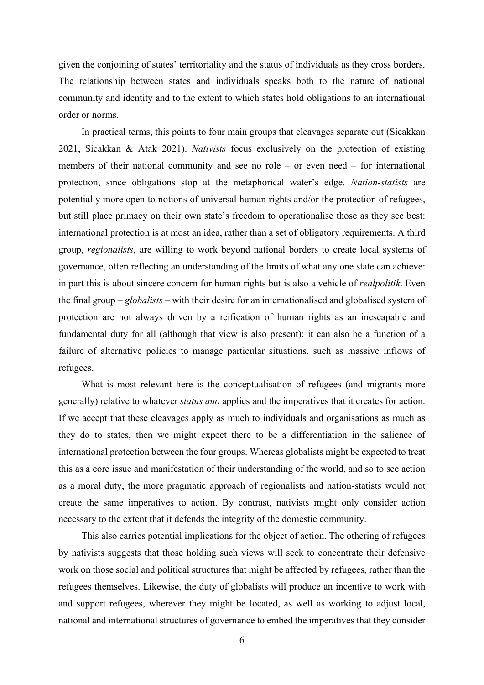given the conjoining of states' territoriality and the status of individuals as they cross borders. The relationship between states and individuals speaks both to the nature of national community and identity and to the extent to which states hold obligations to an international order or norms.

In practical terms, this points to four main groups that cleavages separate out (Sicakkan 2021, Sicakkan & Atak 2021). Nativists focus exclusively on the protection of existing members of their national community and see no role – or even need – for international protection, since obligations stop at the metaphorical water's edge. Nation-statists are potentially more open to notions of universal human rights and/or the protection of refugees, but still place primacy on their own state's freedom to operationalise those as they see best: international protection is at most an idea, rather than a set of obligatory requirements. A third group, regionalists, are willing to work beyond national borders to create local systems of governance, often reflecting an understanding of the limits of what any one state can achieve: in part this is about sincere concern for human rights but is also a vehicle of realpolitik. Even the final group – globalists – with their desire for an internationalised and globalised system of protection are not always driven by a reification of human rights as an inescapable and fundamental duty for all (although that view is also present): it can also be a function of a failure of alternative policies to manage particular situations, such as massive inflows of refugees.

What is most relevant here is the conceptualisation of refugees (and migrants more generally) relative to whatever status quo applies and the imperatives that it creates for action. If we accept that these cleavages apply as much to individuals and organisations as much as they do to states, then we might expect there to be a differentiation in the salience of international protection between the four groups. Whereas globalists might be expected to treat this as a core issue and manifestation of their understanding of the world, and so to see action as a moral duty, the more pragmatic approach of regionalists and nation-statists would not create the same imperatives to action. By contrast, nativists might only consider action necessary to the extent that it defends the integrity of the domestic community.

This also carries potential implications for the object of action. The othering of refugees by nativists suggests that those holding such views will seek to concentrate their defensive work on those social and political structures that might be affected by refugees, rather than the refugees themselves. Likewise, the duty of globalists will produce an incentive to work with and support refugees, wherever they might be located, as well as working to adjust local, national and international structures of governance to embed the imperatives that they consider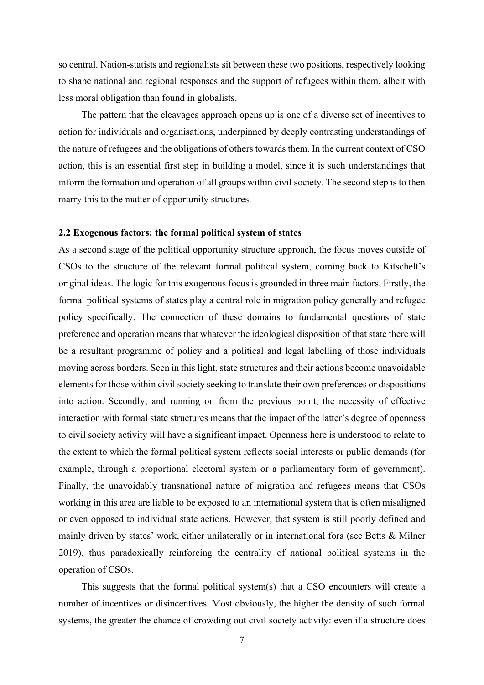so central. Nation-statists and regionalists sit between these two positions, respectively looking to shape national and regional responses and the support of refugees within them, albeit with less moral obligation than found in globalists.

The pattern that the cleavages approach opens up is one of a diverse set of incentives to action for individuals and organisations, underpinned by deeply contrasting understandings of the nature of refugees and the obligations of others towards them. In the current context of CSO action, this is an essential first step in building a model, since it is such understandings that inform the formation and operation of all groups within civil society. The second step is to then marry this to the matter of opportunity structures.

#### 2.2 Exogenous factors: the formal political system of states

As a second stage of the political opportunity structure approach, the focus moves outside of CSOs to the structure of the relevant formal political system, coming back to Kitschelt's original ideas. The logic for this exogenous focus is grounded in three main factors. Firstly, the formal political systems of states play a central role in migration policy generally and refugee policy specifically. The connection of these domains to fundamental questions of state preference and operation means that whatever the ideological disposition of that state there will be a resultant programme of policy and a political and legal labelling of those individuals moving across borders. Seen in this light, state structures and their actions become unavoidable elements for those within civil society seeking to translate their own preferences or dispositions into action. Secondly, and running on from the previous point, the necessity of effective interaction with formal state structures means that the impact of the latter's degree of openness to civil society activity will have a significant impact. Openness here is understood to relate to the extent to which the formal political system reflects social interests or public demands (for example, through a proportional electoral system or a parliamentary form of government). Finally, the unavoidably transnational nature of migration and refugees means that CSOs working in this area are liable to be exposed to an international system that is often misaligned or even opposed to individual state actions. However, that system is still poorly defined and mainly driven by states' work, either unilaterally or in international fora (see Betts & Milner 2019), thus paradoxically reinforcing the centrality of national political systems in the operation of CSOs.

This suggests that the formal political system(s) that a CSO encounters will create a number of incentives or disincentives. Most obviously, the higher the density of such formal systems, the greater the chance of crowding out civil society activity: even if a structure does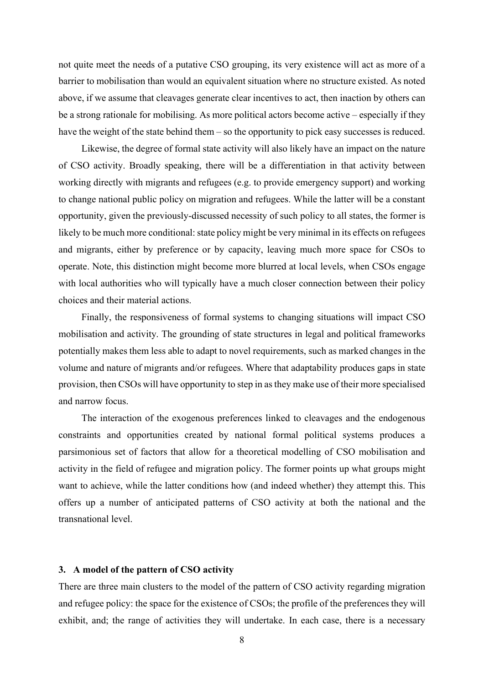not quite meet the needs of a putative CSO grouping, its very existence will act as more of a barrier to mobilisation than would an equivalent situation where no structure existed. As noted above, if we assume that cleavages generate clear incentives to act, then inaction by others can be a strong rationale for mobilising. As more political actors become active – especially if they have the weight of the state behind them – so the opportunity to pick easy successes is reduced.

Likewise, the degree of formal state activity will also likely have an impact on the nature of CSO activity. Broadly speaking, there will be a differentiation in that activity between working directly with migrants and refugees (e.g. to provide emergency support) and working to change national public policy on migration and refugees. While the latter will be a constant opportunity, given the previously-discussed necessity of such policy to all states, the former is likely to be much more conditional: state policy might be very minimal in its effects on refugees and migrants, either by preference or by capacity, leaving much more space for CSOs to operate. Note, this distinction might become more blurred at local levels, when CSOs engage with local authorities who will typically have a much closer connection between their policy choices and their material actions.

Finally, the responsiveness of formal systems to changing situations will impact CSO mobilisation and activity. The grounding of state structures in legal and political frameworks potentially makes them less able to adapt to novel requirements, such as marked changes in the volume and nature of migrants and/or refugees. Where that adaptability produces gaps in state provision, then CSOs will have opportunity to step in as they make use of their more specialised and narrow focus.

The interaction of the exogenous preferences linked to cleavages and the endogenous constraints and opportunities created by national formal political systems produces a parsimonious set of factors that allow for a theoretical modelling of CSO mobilisation and activity in the field of refugee and migration policy. The former points up what groups might want to achieve, while the latter conditions how (and indeed whether) they attempt this. This offers up a number of anticipated patterns of CSO activity at both the national and the transnational level.

#### 3. A model of the pattern of CSO activity

There are three main clusters to the model of the pattern of CSO activity regarding migration and refugee policy: the space for the existence of CSOs; the profile of the preferences they will exhibit, and; the range of activities they will undertake. In each case, there is a necessary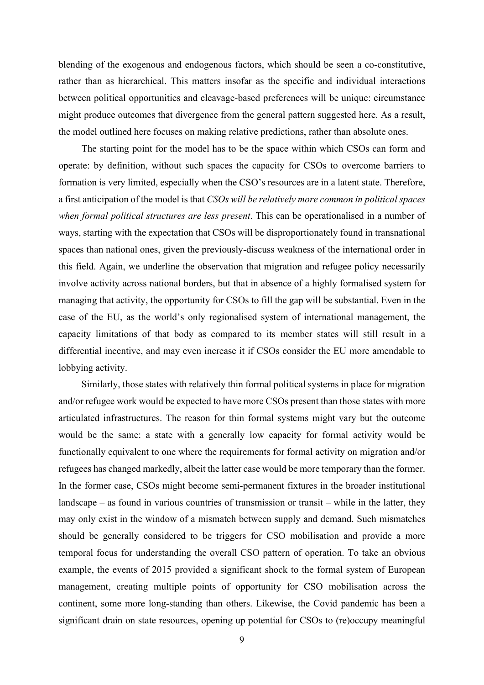blending of the exogenous and endogenous factors, which should be seen a co-constitutive, rather than as hierarchical. This matters insofar as the specific and individual interactions between political opportunities and cleavage-based preferences will be unique: circumstance might produce outcomes that divergence from the general pattern suggested here. As a result, the model outlined here focuses on making relative predictions, rather than absolute ones.

The starting point for the model has to be the space within which CSOs can form and operate: by definition, without such spaces the capacity for CSOs to overcome barriers to formation is very limited, especially when the CSO's resources are in a latent state. Therefore, a first anticipation of the model is that CSOs will be relatively more common in political spaces when formal political structures are less present. This can be operationalised in a number of ways, starting with the expectation that CSOs will be disproportionately found in transnational spaces than national ones, given the previously-discuss weakness of the international order in this field. Again, we underline the observation that migration and refugee policy necessarily involve activity across national borders, but that in absence of a highly formalised system for managing that activity, the opportunity for CSOs to fill the gap will be substantial. Even in the case of the EU, as the world's only regionalised system of international management, the capacity limitations of that body as compared to its member states will still result in a differential incentive, and may even increase it if CSOs consider the EU more amendable to lobbying activity.

Similarly, those states with relatively thin formal political systems in place for migration and/or refugee work would be expected to have more CSOs present than those states with more articulated infrastructures. The reason for thin formal systems might vary but the outcome would be the same: a state with a generally low capacity for formal activity would be functionally equivalent to one where the requirements for formal activity on migration and/or refugees has changed markedly, albeit the latter case would be more temporary than the former. In the former case, CSOs might become semi-permanent fixtures in the broader institutional landscape – as found in various countries of transmission or transit – while in the latter, they may only exist in the window of a mismatch between supply and demand. Such mismatches should be generally considered to be triggers for CSO mobilisation and provide a more temporal focus for understanding the overall CSO pattern of operation. To take an obvious example, the events of 2015 provided a significant shock to the formal system of European management, creating multiple points of opportunity for CSO mobilisation across the continent, some more long-standing than others. Likewise, the Covid pandemic has been a significant drain on state resources, opening up potential for CSOs to (re)occupy meaningful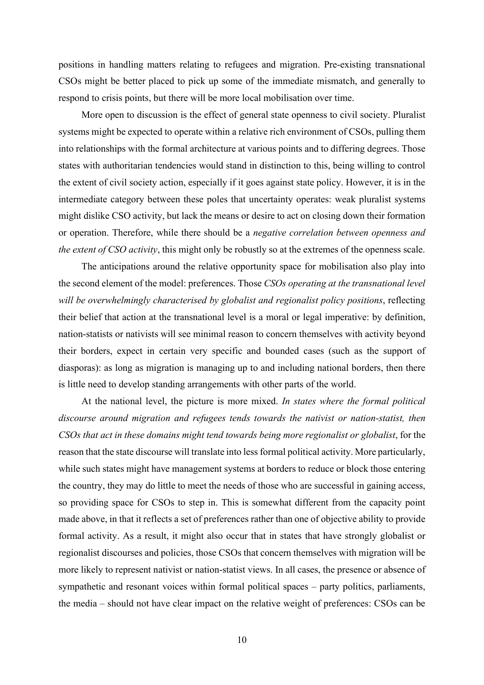positions in handling matters relating to refugees and migration. Pre-existing transnational CSOs might be better placed to pick up some of the immediate mismatch, and generally to respond to crisis points, but there will be more local mobilisation over time.

More open to discussion is the effect of general state openness to civil society. Pluralist systems might be expected to operate within a relative rich environment of CSOs, pulling them into relationships with the formal architecture at various points and to differing degrees. Those states with authoritarian tendencies would stand in distinction to this, being willing to control the extent of civil society action, especially if it goes against state policy. However, it is in the intermediate category between these poles that uncertainty operates: weak pluralist systems might dislike CSO activity, but lack the means or desire to act on closing down their formation or operation. Therefore, while there should be a negative correlation between openness and the extent of CSO activity, this might only be robustly so at the extremes of the openness scale.

The anticipations around the relative opportunity space for mobilisation also play into the second element of the model: preferences. Those CSOs operating at the transnational level will be overwhelmingly characterised by globalist and regionalist policy positions, reflecting their belief that action at the transnational level is a moral or legal imperative: by definition, nation-statists or nativists will see minimal reason to concern themselves with activity beyond their borders, expect in certain very specific and bounded cases (such as the support of diasporas): as long as migration is managing up to and including national borders, then there is little need to develop standing arrangements with other parts of the world.

At the national level, the picture is more mixed. In states where the formal political discourse around migration and refugees tends towards the nativist or nation-statist, then CSOs that act in these domains might tend towards being more regionalist or globalist, for the reason that the state discourse will translate into less formal political activity. More particularly, while such states might have management systems at borders to reduce or block those entering the country, they may do little to meet the needs of those who are successful in gaining access, so providing space for CSOs to step in. This is somewhat different from the capacity point made above, in that it reflects a set of preferences rather than one of objective ability to provide formal activity. As a result, it might also occur that in states that have strongly globalist or regionalist discourses and policies, those CSOs that concern themselves with migration will be more likely to represent nativist or nation-statist views. In all cases, the presence or absence of sympathetic and resonant voices within formal political spaces – party politics, parliaments, the media – should not have clear impact on the relative weight of preferences: CSOs can be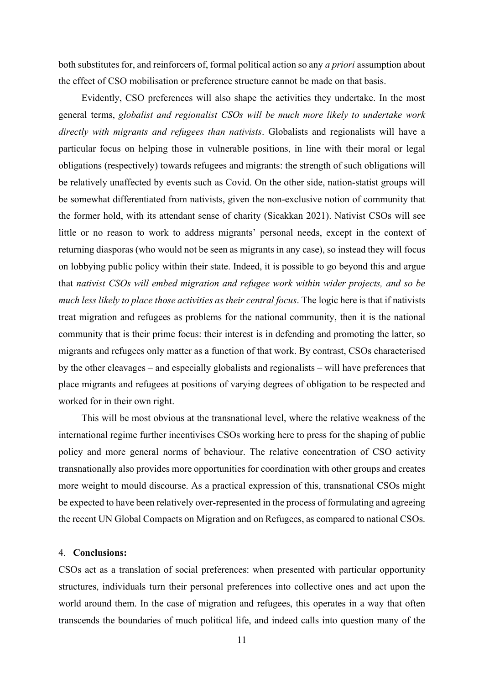both substitutes for, and reinforcers of, formal political action so any a priori assumption about the effect of CSO mobilisation or preference structure cannot be made on that basis.

Evidently, CSO preferences will also shape the activities they undertake. In the most general terms, globalist and regionalist CSOs will be much more likely to undertake work directly with migrants and refugees than nativists. Globalists and regionalists will have a particular focus on helping those in vulnerable positions, in line with their moral or legal obligations (respectively) towards refugees and migrants: the strength of such obligations will be relatively unaffected by events such as Covid. On the other side, nation-statist groups will be somewhat differentiated from nativists, given the non-exclusive notion of community that the former hold, with its attendant sense of charity (Sicakkan 2021). Nativist CSOs will see little or no reason to work to address migrants' personal needs, except in the context of returning diasporas (who would not be seen as migrants in any case), so instead they will focus on lobbying public policy within their state. Indeed, it is possible to go beyond this and argue that nativist CSOs will embed migration and refugee work within wider projects, and so be much less likely to place those activities as their central focus. The logic here is that if nativists treat migration and refugees as problems for the national community, then it is the national community that is their prime focus: their interest is in defending and promoting the latter, so migrants and refugees only matter as a function of that work. By contrast, CSOs characterised by the other cleavages – and especially globalists and regionalists – will have preferences that place migrants and refugees at positions of varying degrees of obligation to be respected and worked for in their own right.

This will be most obvious at the transnational level, where the relative weakness of the international regime further incentivises CSOs working here to press for the shaping of public policy and more general norms of behaviour. The relative concentration of CSO activity transnationally also provides more opportunities for coordination with other groups and creates more weight to mould discourse. As a practical expression of this, transnational CSOs might be expected to have been relatively over-represented in the process of formulating and agreeing the recent UN Global Compacts on Migration and on Refugees, as compared to national CSOs.

#### 4. Conclusions:

CSOs act as a translation of social preferences: when presented with particular opportunity structures, individuals turn their personal preferences into collective ones and act upon the world around them. In the case of migration and refugees, this operates in a way that often transcends the boundaries of much political life, and indeed calls into question many of the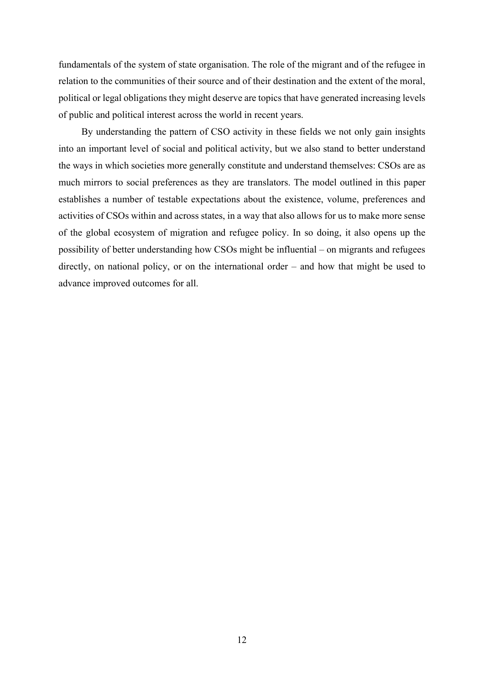fundamentals of the system of state organisation. The role of the migrant and of the refugee in relation to the communities of their source and of their destination and the extent of the moral, political or legal obligations they might deserve are topics that have generated increasing levels of public and political interest across the world in recent years.

By understanding the pattern of CSO activity in these fields we not only gain insights into an important level of social and political activity, but we also stand to better understand the ways in which societies more generally constitute and understand themselves: CSOs are as much mirrors to social preferences as they are translators. The model outlined in this paper establishes a number of testable expectations about the existence, volume, preferences and activities of CSOs within and across states, in a way that also allows for us to make more sense of the global ecosystem of migration and refugee policy. In so doing, it also opens up the possibility of better understanding how CSOs might be influential – on migrants and refugees directly, on national policy, or on the international order – and how that might be used to advance improved outcomes for all.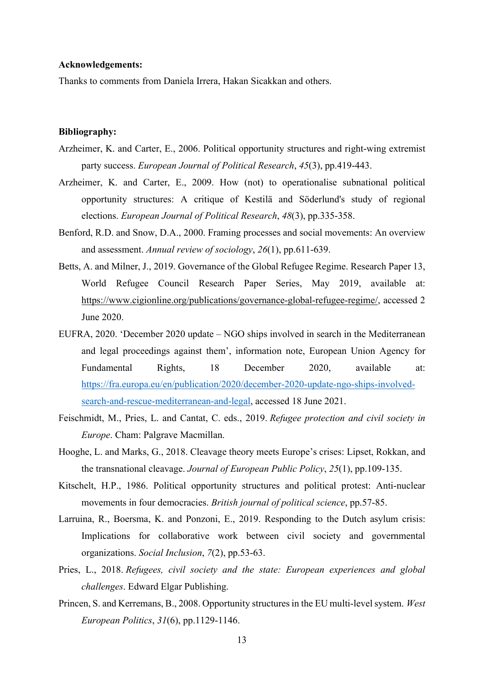#### Acknowledgements:

Thanks to comments from Daniela Irrera, Hakan Sicakkan and others.

#### Bibliography:

- Arzheimer, K. and Carter, E., 2006. Political opportunity structures and right-wing extremist party success. European Journal of Political Research, 45(3), pp.419-443.
- Arzheimer, K. and Carter, E., 2009. How (not) to operationalise subnational political opportunity structures: A critique of Kestilä and Söderlund's study of regional elections. European Journal of Political Research, 48(3), pp.335-358.
- Benford, R.D. and Snow, D.A., 2000. Framing processes and social movements: An overview and assessment. Annual review of sociology, 26(1), pp.611-639.
- Betts, A. and Milner, J., 2019. Governance of the Global Refugee Regime. Research Paper 13, World Refugee Council Research Paper Series, May 2019, available at: https://www.cigionline.org/publications/governance-global-refugee-regime/, accessed 2 June 2020.
- EUFRA, 2020. 'December 2020 update NGO ships involved in search in the Mediterranean and legal proceedings against them', information note, European Union Agency for Fundamental Rights, 18 December 2020, available at: https://fra.europa.eu/en/publication/2020/december-2020-update-ngo-ships-involvedsearch-and-rescue-mediterranean-and-legal, accessed 18 June 2021.
- Feischmidt, M., Pries, L. and Cantat, C. eds., 2019. Refugee protection and civil society in Europe. Cham: Palgrave Macmillan.
- Hooghe, L. and Marks, G., 2018. Cleavage theory meets Europe's crises: Lipset, Rokkan, and the transnational cleavage. Journal of European Public Policy, 25(1), pp.109-135.
- Kitschelt, H.P., 1986. Political opportunity structures and political protest: Anti-nuclear movements in four democracies. British journal of political science, pp.57-85.
- Larruina, R., Boersma, K. and Ponzoni, E., 2019. Responding to the Dutch asylum crisis: Implications for collaborative work between civil society and governmental organizations. Social Inclusion, 7(2), pp.53-63.
- Pries, L., 2018. Refugees, civil society and the state: European experiences and global challenges. Edward Elgar Publishing.
- Princen, S. and Kerremans, B., 2008. Opportunity structures in the EU multi-level system. West European Politics, 31(6), pp.1129-1146.